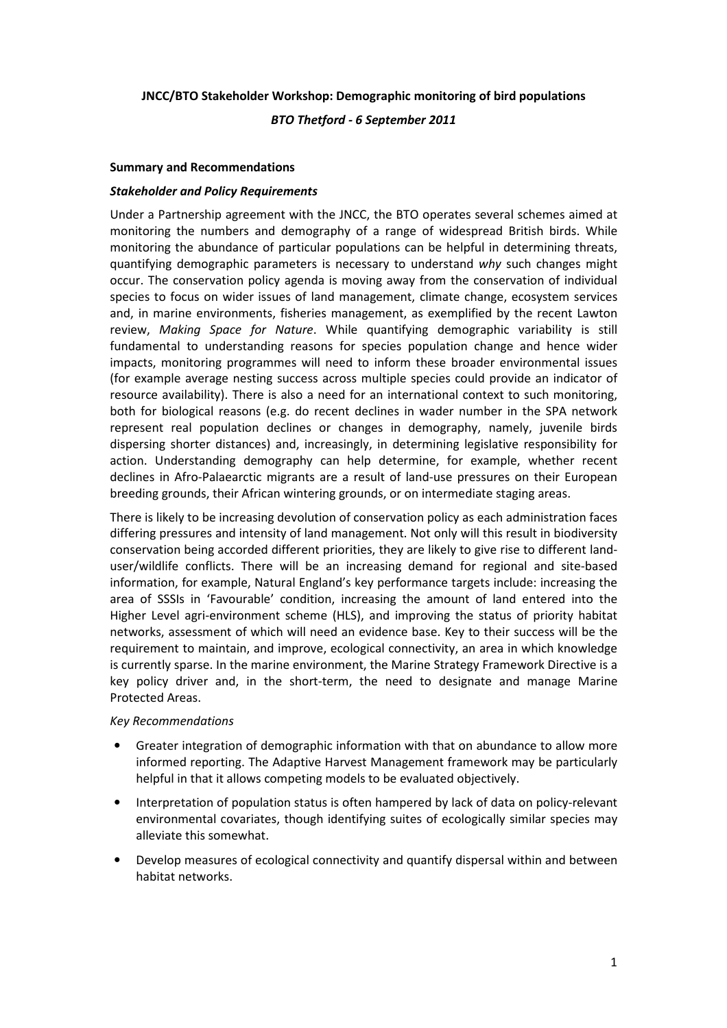# **JNCC/BTO Stakeholder Workshop: Demographic monitoring of bird populations**

*BTO Thetford - 6 September 2011* 

### **Summary and Recommendations**

### *Stakeholder and Policy Requirements*

Under a Partnership agreement with the JNCC, the BTO operates several schemes aimed at monitoring the numbers and demography of a range of widespread British birds. While monitoring the abundance of particular populations can be helpful in determining threats, quantifying demographic parameters is necessary to understand *why* such changes might occur. The conservation policy agenda is moving away from the conservation of individual species to focus on wider issues of land management, climate change, ecosystem services and, in marine environments, fisheries management, as exemplified by the recent Lawton review, *Making Space for Nature*. While quantifying demographic variability is still fundamental to understanding reasons for species population change and hence wider impacts, monitoring programmes will need to inform these broader environmental issues (for example average nesting success across multiple species could provide an indicator of resource availability). There is also a need for an international context to such monitoring, both for biological reasons (e.g. do recent declines in wader number in the SPA network represent real population declines or changes in demography, namely, juvenile birds dispersing shorter distances) and, increasingly, in determining legislative responsibility for action. Understanding demography can help determine, for example, whether recent declines in Afro-Palaearctic migrants are a result of land-use pressures on their European breeding grounds, their African wintering grounds, or on intermediate staging areas.

There is likely to be increasing devolution of conservation policy as each administration faces differing pressures and intensity of land management. Not only will this result in biodiversity conservation being accorded different priorities, they are likely to give rise to different landuser/wildlife conflicts. There will be an increasing demand for regional and site-based information, for example, Natural England's key performance targets include: increasing the area of SSSIs in 'Favourable' condition, increasing the amount of land entered into the Higher Level agri-environment scheme (HLS), and improving the status of priority habitat networks, assessment of which will need an evidence base. Key to their success will be the requirement to maintain, and improve, ecological connectivity, an area in which knowledge is currently sparse. In the marine environment, the Marine Strategy Framework Directive is a key policy driver and, in the short-term, the need to designate and manage Marine Protected Areas.

#### *Key Recommendations*

- Greater integration of demographic information with that on abundance to allow more informed reporting. The Adaptive Harvest Management framework may be particularly helpful in that it allows competing models to be evaluated objectively.
- Interpretation of population status is often hampered by lack of data on policy-relevant environmental covariates, though identifying suites of ecologically similar species may alleviate this somewhat.
- Develop measures of ecological connectivity and quantify dispersal within and between habitat networks.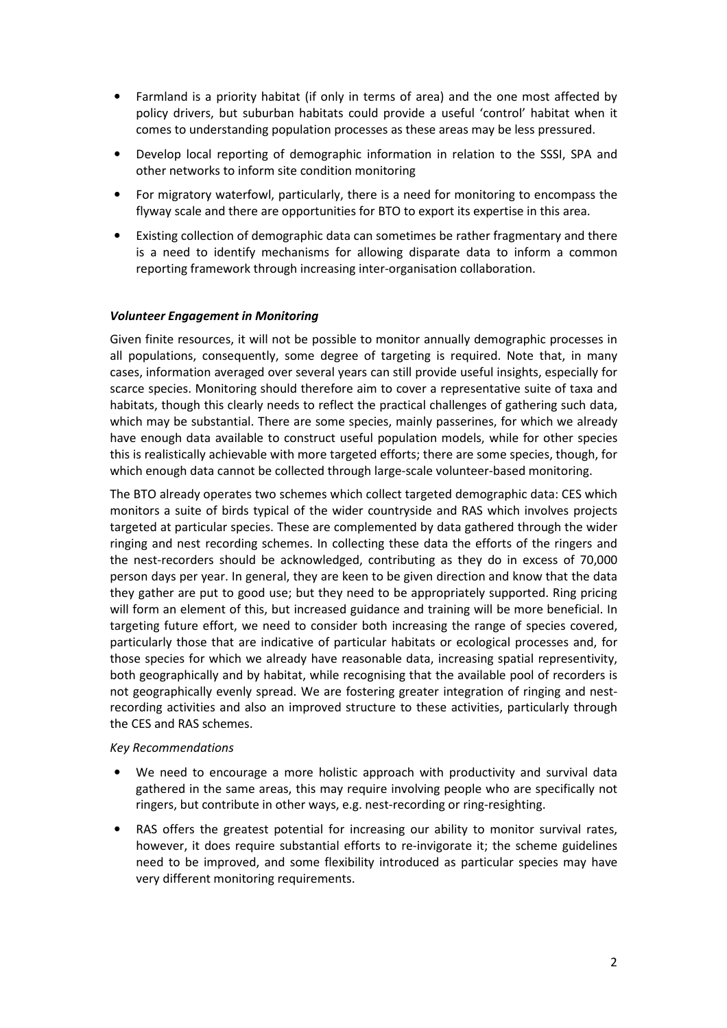- Farmland is a priority habitat (if only in terms of area) and the one most affected by policy drivers, but suburban habitats could provide a useful 'control' habitat when it comes to understanding population processes as these areas may be less pressured.
- Develop local reporting of demographic information in relation to the SSSI, SPA and other networks to inform site condition monitoring
- For migratory waterfowl, particularly, there is a need for monitoring to encompass the flyway scale and there are opportunities for BTO to export its expertise in this area.
- Existing collection of demographic data can sometimes be rather fragmentary and there is a need to identify mechanisms for allowing disparate data to inform a common reporting framework through increasing inter-organisation collaboration.

# *Volunteer Engagement in Monitoring*

Given finite resources, it will not be possible to monitor annually demographic processes in all populations, consequently, some degree of targeting is required. Note that, in many cases, information averaged over several years can still provide useful insights, especially for scarce species. Monitoring should therefore aim to cover a representative suite of taxa and habitats, though this clearly needs to reflect the practical challenges of gathering such data, which may be substantial. There are some species, mainly passerines, for which we already have enough data available to construct useful population models, while for other species this is realistically achievable with more targeted efforts; there are some species, though, for which enough data cannot be collected through large-scale volunteer-based monitoring.

The BTO already operates two schemes which collect targeted demographic data: CES which monitors a suite of birds typical of the wider countryside and RAS which involves projects targeted at particular species. These are complemented by data gathered through the wider ringing and nest recording schemes. In collecting these data the efforts of the ringers and the nest-recorders should be acknowledged, contributing as they do in excess of 70,000 person days per year. In general, they are keen to be given direction and know that the data they gather are put to good use; but they need to be appropriately supported. Ring pricing will form an element of this, but increased guidance and training will be more beneficial. In targeting future effort, we need to consider both increasing the range of species covered, particularly those that are indicative of particular habitats or ecological processes and, for those species for which we already have reasonable data, increasing spatial representivity, both geographically and by habitat, while recognising that the available pool of recorders is not geographically evenly spread. We are fostering greater integration of ringing and nestrecording activities and also an improved structure to these activities, particularly through the CES and RAS schemes.

#### *Key Recommendations*

- We need to encourage a more holistic approach with productivity and survival data gathered in the same areas, this may require involving people who are specifically not ringers, but contribute in other ways, e.g. nest-recording or ring-resighting.
- RAS offers the greatest potential for increasing our ability to monitor survival rates, however, it does require substantial efforts to re-invigorate it; the scheme guidelines need to be improved, and some flexibility introduced as particular species may have very different monitoring requirements.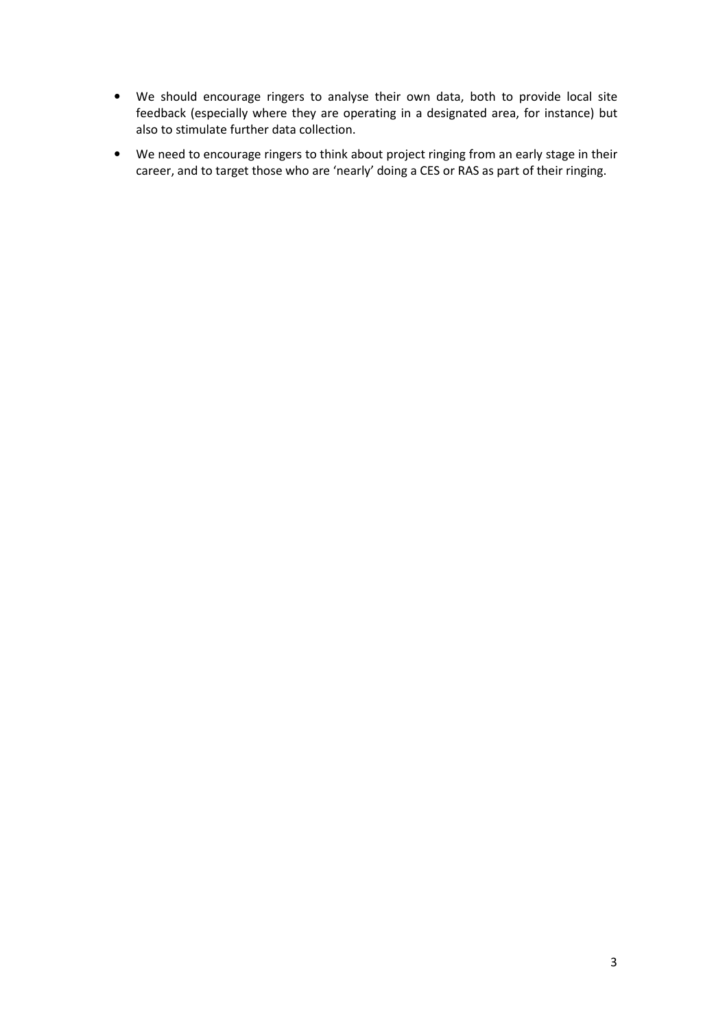- We should encourage ringers to analyse their own data, both to provide local site feedback (especially where they are operating in a designated area, for instance) but also to stimulate further data collection.
- We need to encourage ringers to think about project ringing from an early stage in their career, and to target those who are 'nearly' doing a CES or RAS as part of their ringing.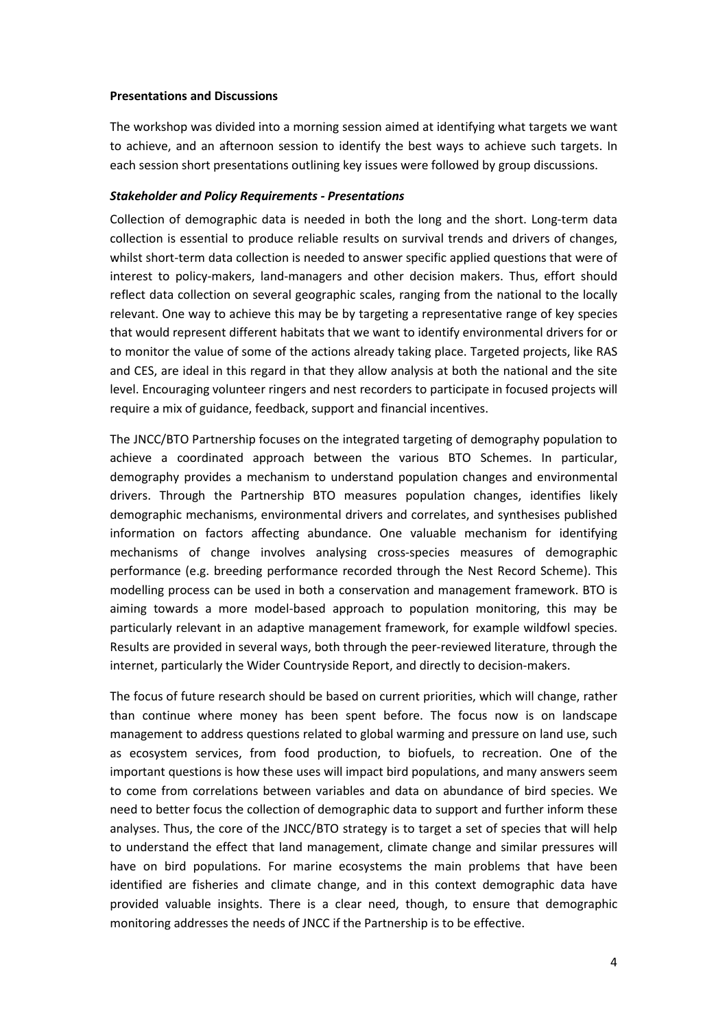### **Presentations and Discussions**

The workshop was divided into a morning session aimed at identifying what targets we want to achieve, and an afternoon session to identify the best ways to achieve such targets. In each session short presentations outlining key issues were followed by group discussions.

### *Stakeholder and Policy Requirements - Presentations*

Collection of demographic data is needed in both the long and the short. Long-term data collection is essential to produce reliable results on survival trends and drivers of changes, whilst short-term data collection is needed to answer specific applied questions that were of interest to policy-makers, land-managers and other decision makers. Thus, effort should reflect data collection on several geographic scales, ranging from the national to the locally relevant. One way to achieve this may be by targeting a representative range of key species that would represent different habitats that we want to identify environmental drivers for or to monitor the value of some of the actions already taking place. Targeted projects, like RAS and CES, are ideal in this regard in that they allow analysis at both the national and the site level. Encouraging volunteer ringers and nest recorders to participate in focused projects will require a mix of guidance, feedback, support and financial incentives.

The JNCC/BTO Partnership focuses on the integrated targeting of demography population to achieve a coordinated approach between the various BTO Schemes. In particular, demography provides a mechanism to understand population changes and environmental drivers. Through the Partnership BTO measures population changes, identifies likely demographic mechanisms, environmental drivers and correlates, and synthesises published information on factors affecting abundance. One valuable mechanism for identifying mechanisms of change involves analysing cross-species measures of demographic performance (e.g. breeding performance recorded through the Nest Record Scheme). This modelling process can be used in both a conservation and management framework. BTO is aiming towards a more model-based approach to population monitoring, this may be particularly relevant in an adaptive management framework, for example wildfowl species. Results are provided in several ways, both through the peer-reviewed literature, through the internet, particularly the Wider Countryside Report, and directly to decision-makers.

The focus of future research should be based on current priorities, which will change, rather than continue where money has been spent before. The focus now is on landscape management to address questions related to global warming and pressure on land use, such as ecosystem services, from food production, to biofuels, to recreation. One of the important questions is how these uses will impact bird populations, and many answers seem to come from correlations between variables and data on abundance of bird species. We need to better focus the collection of demographic data to support and further inform these analyses. Thus, the core of the JNCC/BTO strategy is to target a set of species that will help to understand the effect that land management, climate change and similar pressures will have on bird populations. For marine ecosystems the main problems that have been identified are fisheries and climate change, and in this context demographic data have provided valuable insights. There is a clear need, though, to ensure that demographic monitoring addresses the needs of JNCC if the Partnership is to be effective.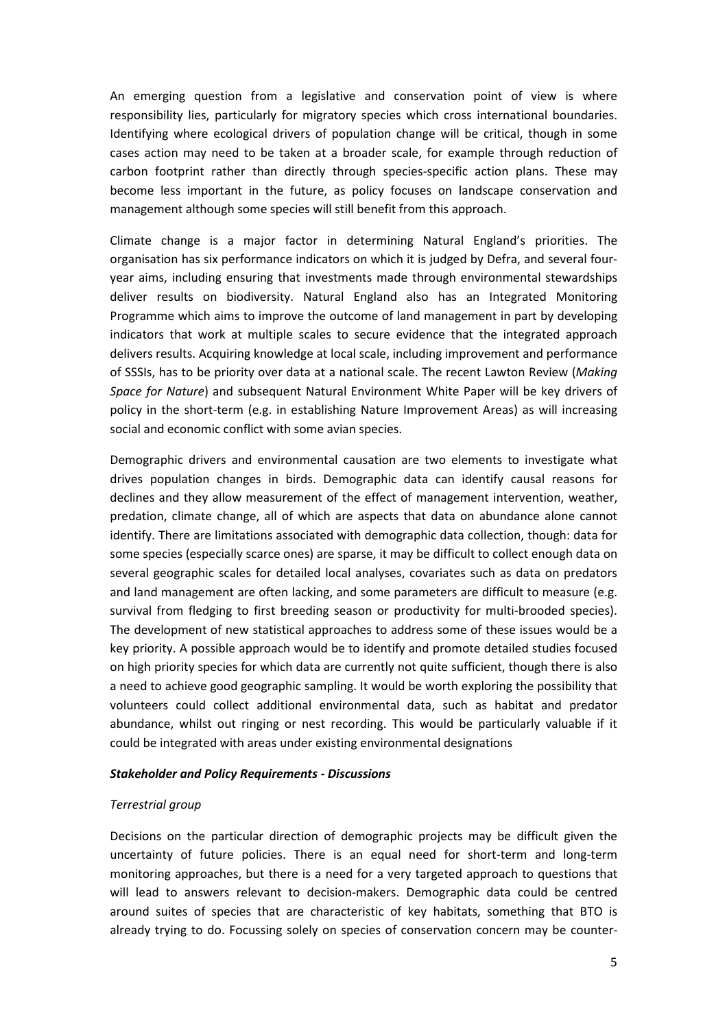An emerging question from a legislative and conservation point of view is where responsibility lies, particularly for migratory species which cross international boundaries. Identifying where ecological drivers of population change will be critical, though in some cases action may need to be taken at a broader scale, for example through reduction of carbon footprint rather than directly through species-specific action plans. These may become less important in the future, as policy focuses on landscape conservation and management although some species will still benefit from this approach.

Climate change is a major factor in determining Natural England's priorities. The organisation has six performance indicators on which it is judged by Defra, and several fouryear aims, including ensuring that investments made through environmental stewardships deliver results on biodiversity. Natural England also has an Integrated Monitoring Programme which aims to improve the outcome of land management in part by developing indicators that work at multiple scales to secure evidence that the integrated approach delivers results. Acquiring knowledge at local scale, including improvement and performance of SSSIs, has to be priority over data at a national scale. The recent Lawton Review (*Making Space for Nature*) and subsequent Natural Environment White Paper will be key drivers of policy in the short-term (e.g. in establishing Nature Improvement Areas) as will increasing social and economic conflict with some avian species.

Demographic drivers and environmental causation are two elements to investigate what drives population changes in birds. Demographic data can identify causal reasons for declines and they allow measurement of the effect of management intervention, weather, predation, climate change, all of which are aspects that data on abundance alone cannot identify. There are limitations associated with demographic data collection, though: data for some species (especially scarce ones) are sparse, it may be difficult to collect enough data on several geographic scales for detailed local analyses, covariates such as data on predators and land management are often lacking, and some parameters are difficult to measure (e.g. survival from fledging to first breeding season or productivity for multi-brooded species). The development of new statistical approaches to address some of these issues would be a key priority. A possible approach would be to identify and promote detailed studies focused on high priority species for which data are currently not quite sufficient, though there is also a need to achieve good geographic sampling. It would be worth exploring the possibility that volunteers could collect additional environmental data, such as habitat and predator abundance, whilst out ringing or nest recording. This would be particularly valuable if it could be integrated with areas under existing environmental designations

#### *Stakeholder and Policy Requirements - Discussions*

# *Terrestrial group*

Decisions on the particular direction of demographic projects may be difficult given the uncertainty of future policies. There is an equal need for short-term and long-term monitoring approaches, but there is a need for a very targeted approach to questions that will lead to answers relevant to decision-makers. Demographic data could be centred around suites of species that are characteristic of key habitats, something that BTO is already trying to do. Focussing solely on species of conservation concern may be counter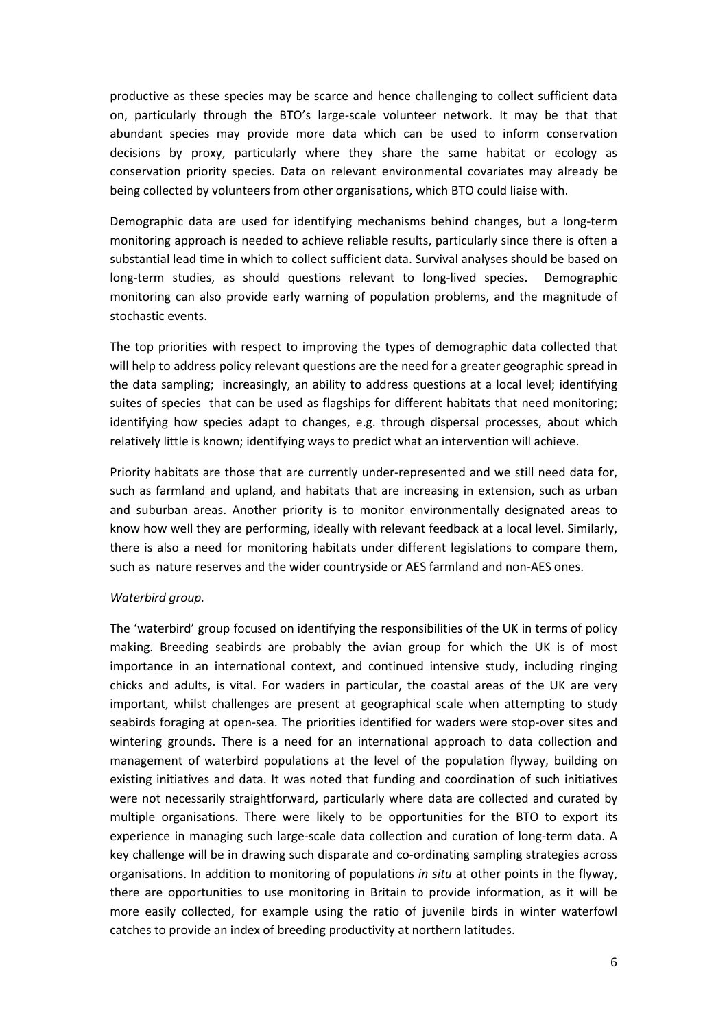productive as these species may be scarce and hence challenging to collect sufficient data on, particularly through the BTO's large-scale volunteer network. It may be that that abundant species may provide more data which can be used to inform conservation decisions by proxy, particularly where they share the same habitat or ecology as conservation priority species. Data on relevant environmental covariates may already be being collected by volunteers from other organisations, which BTO could liaise with.

Demographic data are used for identifying mechanisms behind changes, but a long-term monitoring approach is needed to achieve reliable results, particularly since there is often a substantial lead time in which to collect sufficient data. Survival analyses should be based on long-term studies, as should questions relevant to long-lived species. Demographic monitoring can also provide early warning of population problems, and the magnitude of stochastic events.

The top priorities with respect to improving the types of demographic data collected that will help to address policy relevant questions are the need for a greater geographic spread in the data sampling; increasingly, an ability to address questions at a local level; identifying suites of species that can be used as flagships for different habitats that need monitoring; identifying how species adapt to changes, e.g. through dispersal processes, about which relatively little is known; identifying ways to predict what an intervention will achieve.

Priority habitats are those that are currently under-represented and we still need data for, such as farmland and upland, and habitats that are increasing in extension, such as urban and suburban areas. Another priority is to monitor environmentally designated areas to know how well they are performing, ideally with relevant feedback at a local level. Similarly, there is also a need for monitoring habitats under different legislations to compare them, such as nature reserves and the wider countryside or AES farmland and non-AES ones.

# *Waterbird group.*

The 'waterbird' group focused on identifying the responsibilities of the UK in terms of policy making. Breeding seabirds are probably the avian group for which the UK is of most importance in an international context, and continued intensive study, including ringing chicks and adults, is vital. For waders in particular, the coastal areas of the UK are very important, whilst challenges are present at geographical scale when attempting to study seabirds foraging at open-sea. The priorities identified for waders were stop-over sites and wintering grounds. There is a need for an international approach to data collection and management of waterbird populations at the level of the population flyway, building on existing initiatives and data. It was noted that funding and coordination of such initiatives were not necessarily straightforward, particularly where data are collected and curated by multiple organisations. There were likely to be opportunities for the BTO to export its experience in managing such large-scale data collection and curation of long-term data. A key challenge will be in drawing such disparate and co-ordinating sampling strategies across organisations. In addition to monitoring of populations *in situ* at other points in the flyway, there are opportunities to use monitoring in Britain to provide information, as it will be more easily collected, for example using the ratio of juvenile birds in winter waterfowl catches to provide an index of breeding productivity at northern latitudes.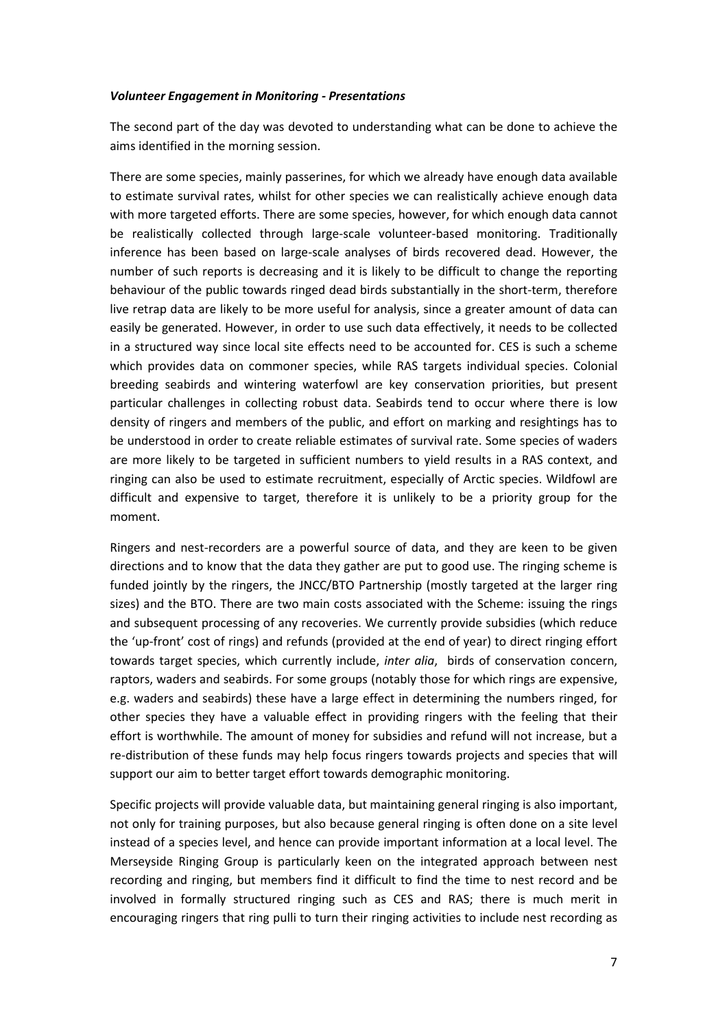### *Volunteer Engagement in Monitoring - Presentations*

The second part of the day was devoted to understanding what can be done to achieve the aims identified in the morning session.

There are some species, mainly passerines, for which we already have enough data available to estimate survival rates, whilst for other species we can realistically achieve enough data with more targeted efforts. There are some species, however, for which enough data cannot be realistically collected through large-scale volunteer-based monitoring. Traditionally inference has been based on large-scale analyses of birds recovered dead. However, the number of such reports is decreasing and it is likely to be difficult to change the reporting behaviour of the public towards ringed dead birds substantially in the short-term, therefore live retrap data are likely to be more useful for analysis, since a greater amount of data can easily be generated. However, in order to use such data effectively, it needs to be collected in a structured way since local site effects need to be accounted for. CES is such a scheme which provides data on commoner species, while RAS targets individual species. Colonial breeding seabirds and wintering waterfowl are key conservation priorities, but present particular challenges in collecting robust data. Seabirds tend to occur where there is low density of ringers and members of the public, and effort on marking and resightings has to be understood in order to create reliable estimates of survival rate. Some species of waders are more likely to be targeted in sufficient numbers to yield results in a RAS context, and ringing can also be used to estimate recruitment, especially of Arctic species. Wildfowl are difficult and expensive to target, therefore it is unlikely to be a priority group for the moment.

Ringers and nest-recorders are a powerful source of data, and they are keen to be given directions and to know that the data they gather are put to good use. The ringing scheme is funded jointly by the ringers, the JNCC/BTO Partnership (mostly targeted at the larger ring sizes) and the BTO. There are two main costs associated with the Scheme: issuing the rings and subsequent processing of any recoveries. We currently provide subsidies (which reduce the 'up-front' cost of rings) and refunds (provided at the end of year) to direct ringing effort towards target species, which currently include, *inter alia*, birds of conservation concern, raptors, waders and seabirds. For some groups (notably those for which rings are expensive, e.g. waders and seabirds) these have a large effect in determining the numbers ringed, for other species they have a valuable effect in providing ringers with the feeling that their effort is worthwhile. The amount of money for subsidies and refund will not increase, but a re-distribution of these funds may help focus ringers towards projects and species that will support our aim to better target effort towards demographic monitoring.

Specific projects will provide valuable data, but maintaining general ringing is also important, not only for training purposes, but also because general ringing is often done on a site level instead of a species level, and hence can provide important information at a local level. The Merseyside Ringing Group is particularly keen on the integrated approach between nest recording and ringing, but members find it difficult to find the time to nest record and be involved in formally structured ringing such as CES and RAS; there is much merit in encouraging ringers that ring pulli to turn their ringing activities to include nest recording as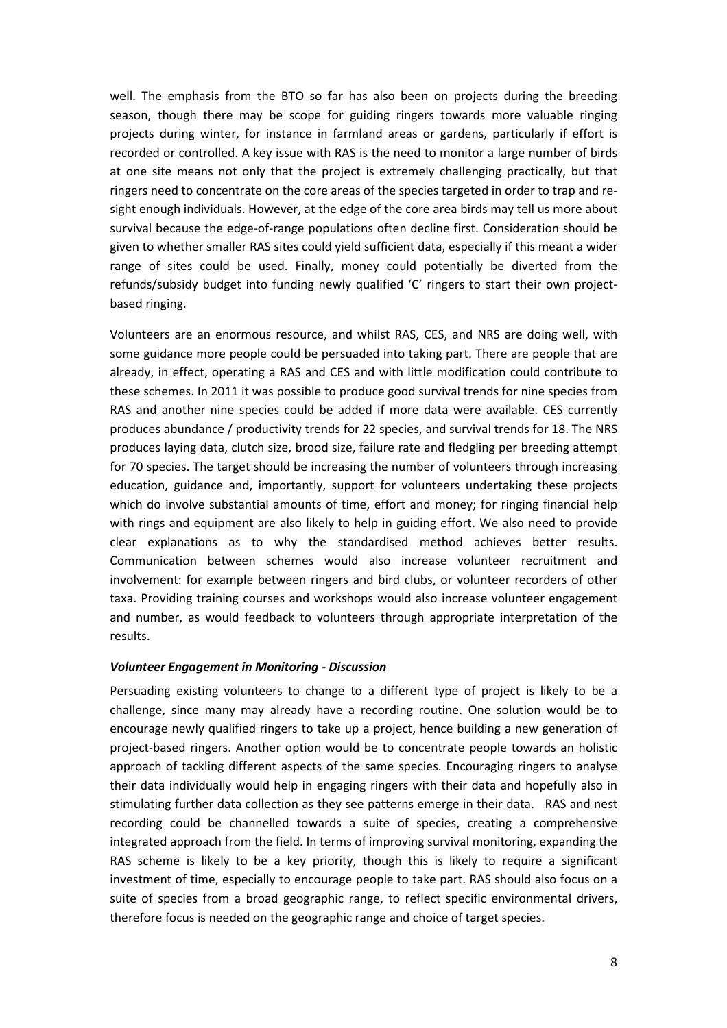well. The emphasis from the BTO so far has also been on projects during the breeding season, though there may be scope for guiding ringers towards more valuable ringing projects during winter, for instance in farmland areas or gardens, particularly if effort is recorded or controlled. A key issue with RAS is the need to monitor a large number of birds at one site means not only that the project is extremely challenging practically, but that ringers need to concentrate on the core areas of the species targeted in order to trap and resight enough individuals. However, at the edge of the core area birds may tell us more about survival because the edge-of-range populations often decline first. Consideration should be given to whether smaller RAS sites could yield sufficient data, especially if this meant a wider range of sites could be used. Finally, money could potentially be diverted from the refunds/subsidy budget into funding newly qualified 'C' ringers to start their own projectbased ringing.

Volunteers are an enormous resource, and whilst RAS, CES, and NRS are doing well, with some guidance more people could be persuaded into taking part. There are people that are already, in effect, operating a RAS and CES and with little modification could contribute to these schemes. In 2011 it was possible to produce good survival trends for nine species from RAS and another nine species could be added if more data were available. CES currently produces abundance / productivity trends for 22 species, and survival trends for 18. The NRS produces laying data, clutch size, brood size, failure rate and fledgling per breeding attempt for 70 species. The target should be increasing the number of volunteers through increasing education, guidance and, importantly, support for volunteers undertaking these projects which do involve substantial amounts of time, effort and money; for ringing financial help with rings and equipment are also likely to help in guiding effort. We also need to provide clear explanations as to why the standardised method achieves better results. Communication between schemes would also increase volunteer recruitment and involvement: for example between ringers and bird clubs, or volunteer recorders of other taxa. Providing training courses and workshops would also increase volunteer engagement and number, as would feedback to volunteers through appropriate interpretation of the results.

# *Volunteer Engagement in Monitoring - Discussion*

Persuading existing volunteers to change to a different type of project is likely to be a challenge, since many may already have a recording routine. One solution would be to encourage newly qualified ringers to take up a project, hence building a new generation of project-based ringers. Another option would be to concentrate people towards an holistic approach of tackling different aspects of the same species. Encouraging ringers to analyse their data individually would help in engaging ringers with their data and hopefully also in stimulating further data collection as they see patterns emerge in their data. RAS and nest recording could be channelled towards a suite of species, creating a comprehensive integrated approach from the field. In terms of improving survival monitoring, expanding the RAS scheme is likely to be a key priority, though this is likely to require a significant investment of time, especially to encourage people to take part. RAS should also focus on a suite of species from a broad geographic range, to reflect specific environmental drivers, therefore focus is needed on the geographic range and choice of target species.